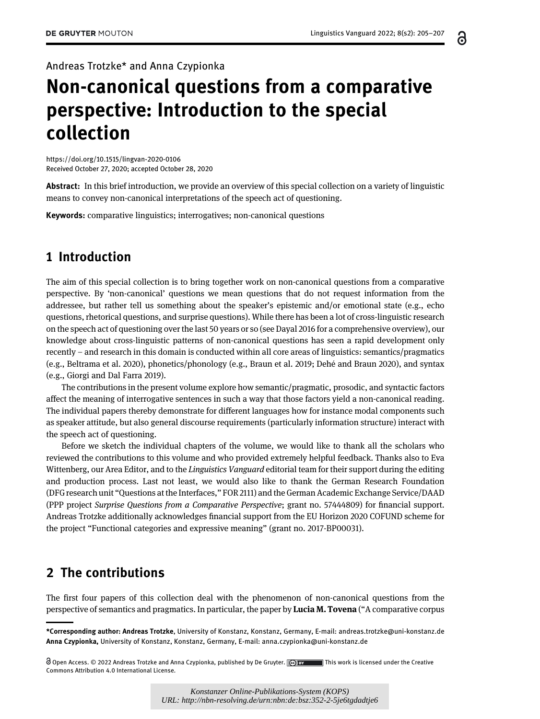႕

Andreas Trotzke\* and Anna Czypionka

## Non-canonical questions from a comparative perspective: Introduction to the special collection

<https://doi.org/10.1515/lingvan-2020-0106> Received October 27, 2020; accepted October 28, 2020

Abstract: In this brief introduction, we provide an overview of this special collection on a variety of linguistic means to convey non-canonical interpretations of the speech act of questioning.

Keywords: comparative linguistics; interrogatives; non-canonical questions

## 1 Introduction

The aim of this special collection is to bring together work on non-canonical questions from a comparative perspective. By 'non-canonical' questions we mean questions that do not request information from the addressee, but rather tell us something about the speaker's epistemic and/or emotional state (e.g., echo questions, rhetorical questions, and surprise questions). While there has been a lot of cross-linguistic research on the speech act of questioning over the last 50 years or so (see [Dayal 2016](#page-2-0) for a comprehensive overview), our knowledge about cross-linguistic patterns of non-canonical questions has seen a rapid development only recently – and research in this domain is conducted within all core areas of linguistics: semantics/pragmatics (e.g., [Beltrama et al. 2020\)](#page-2-1), phonetics/phonology (e.g., [Braun et al. 2019](#page-2-2); [Dehe and Braun 2020](#page-2-3)), and syntax ´ (e.g., [Giorgi and Dal Farra 2019\)](#page-2-4).

The contributions in the present volume explore how semantic/pragmatic, prosodic, and syntactic factors affect the meaning of interrogative sentences in such a way that those factors yield a non-canonical reading. The individual papers thereby demonstrate for different languages how for instance modal components such as speaker attitude, but also general discourse requirements (particularly information structure) interact with the speech act of questioning.

Before we sketch the individual chapters of the volume, we would like to thank all the scholars who reviewed the contributions to this volume and who provided extremely helpful feedback. Thanks also to Eva Wittenberg, our Area Editor, and to the Linguistics Vanguard editorial team for their support during the editing and production process. Last not least, we would also like to thank the German Research Foundation (DFG research unit "Questions at the Interfaces," FOR 2111) and the German Academic Exchange Service/DAAD (PPP project Surprise Questions from a Comparative Perspective; grant no. 57444809) for financial support. Andreas Trotzke additionally acknowledges financial support from the EU Horizon 2020 COFUND scheme for the project "Functional categories and expressive meaning" (grant no. 2017-BP00031).

## 2 The contributions

The first four papers of this collection deal with the phenomenon of non-canonical questions from the perspective of semantics and pragmatics. In particular, the paper by **Lucia M. Tovena** ("A comparative corpus

*Konstanzer Online-Publikations-System (KOPS) URL: http://nbn-resolving.de/urn:nbn:de:bsz:352-2-5je6tgdadtje6*

<sup>\*</sup>Corresponding author: Andreas Trotzke, University of Konstanz, Konstanz, Germany, E-mail: [andreas.trotzke@uni-konstanz.de](mailto:andreas.trotzke@uni-konstanz.de) Anna Czypionka, University of Konstanz, Konstanz, Germany, E-mail: [anna.czypionka@uni-konstanz.de](mailto:anna.czypionka@uni-konstanz.de)

Open Access. © 2022 Andreas Trotzke and Anna Czypionka, published by De Gruyter. This work is licensed under the Creative Commons Attribution 4.0 International License.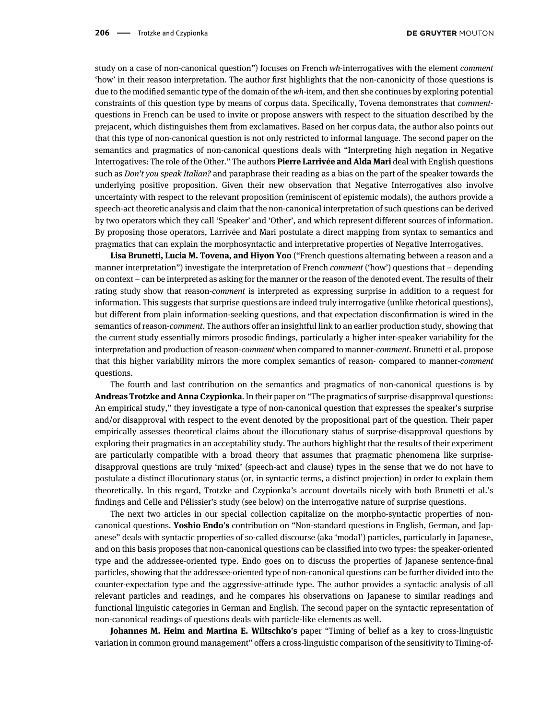study on a case of non-canonical question") focuses on French wh-interrogatives with the element *comment* 'how' in their reason interpretation. The author first highlights that the non-canonicity of those questions is due to the modified semantic type of the domain of the wh-item, and then she continues by exploring potential constraints of this question type by means of corpus data. Specifically, Tovena demonstrates that commentquestions in French can be used to invite or propose answers with respect to the situation described by the prejacent, which distinguishes them from exclamatives. Based on her corpus data, the author also points out that this type of non-canonical question is not only restricted to informal language. The second paper on the semantics and pragmatics of non-canonical questions deals with "Interpreting high negation in Negative Interrogatives: The role of the Other." The authors Pierre Larrivée and Alda Mari deal with English questions such as *Don't you speak Italian?* and paraphrase their reading as a bias on the part of the speaker towards the underlying positive proposition. Given their new observation that Negative Interrogatives also involve uncertainty with respect to the relevant proposition (reminiscent of epistemic modals), the authors provide a speech-act theoretic analysis and claim that the non-canonical interpretation of such questions can be derived by two operators which they call 'Speaker' and 'Other', and which represent different sources of information. By proposing those operators, Larrivée and Mari postulate a direct mapping from syntax to semantics and pragmatics that can explain the morphosyntactic and interpretative properties of Negative Interrogatives.

Lisa Brunetti, Lucia M. Tovena, and Hiyon Yoo ("French questions alternating between a reason and a manner interpretation") investigate the interpretation of French comment ('how') questions that – depending on context – can be interpreted as asking for the manner or the reason of the denoted event. The results of their rating study show that reason-comment is interpreted as expressing surprise in addition to a request for information. This suggests that surprise questions are indeed truly interrogative (unlike rhetorical questions), but different from plain information-seeking questions, and that expectation disconfirmation is wired in the semantics of reason-comment. The authors offer an insightful link to an earlier production study, showing that the current study essentially mirrors prosodic findings, particularly a higher inter-speaker variability for the interpretation and production of reason-comment when compared to manner-comment. Brunetti et al. propose that this higher variability mirrors the more complex semantics of reason- compared to manner-comment questions.

The fourth and last contribution on the semantics and pragmatics of non-canonical questions is by Andreas Trotzke and Anna Czypionka. In their paper on "The pragmatics of surprise-disapproval questions: An empirical study," they investigate a type of non-canonical question that expresses the speaker's surprise and/or disapproval with respect to the event denoted by the propositional part of the question. Their paper empirically assesses theoretical claims about the illocutionary status of surprise-disapproval questions by exploring their pragmatics in an acceptability study. The authors highlight that the results of their experiment are particularly compatible with a broad theory that assumes that pragmatic phenomena like surprisedisapproval questions are truly 'mixed' (speech-act and clause) types in the sense that we do not have to postulate a distinct illocutionary status (or, in syntactic terms, a distinct projection) in order to explain them theoretically. In this regard, Trotzke and Czypionka's account dovetails nicely with both Brunetti et al.'s findings and Celle and Pélissier's study (see below) on the interrogative nature of surprise questions.

The next two articles in our special collection capitalize on the morpho-syntactic properties of noncanonical questions. Yoshio Endo's contribution on "Non-standard questions in English, German, and Japanese" deals with syntactic properties of so-called discourse (aka 'modal') particles, particularly in Japanese, and on this basis proposes that non-canonical questions can be classified into two types: the speaker-oriented type and the addressee-oriented type. Endo goes on to discuss the properties of Japanese sentence-final particles, showing that the addressee-oriented type of non-canonical questions can be further divided into the counter-expectation type and the aggressive-attitude type. The author provides a syntactic analysis of all relevant particles and readings, and he compares his observations on Japanese to similar readings and functional linguistic categories in German and English. The second paper on the syntactic representation of non-canonical readings of questions deals with particle-like elements as well.

Johannes M. Heim and Martina E. Wiltschko's paper "Timing of belief as a key to cross-linguistic variation in common ground management" offers a cross-linguistic comparison of the sensitivity to Timing-of